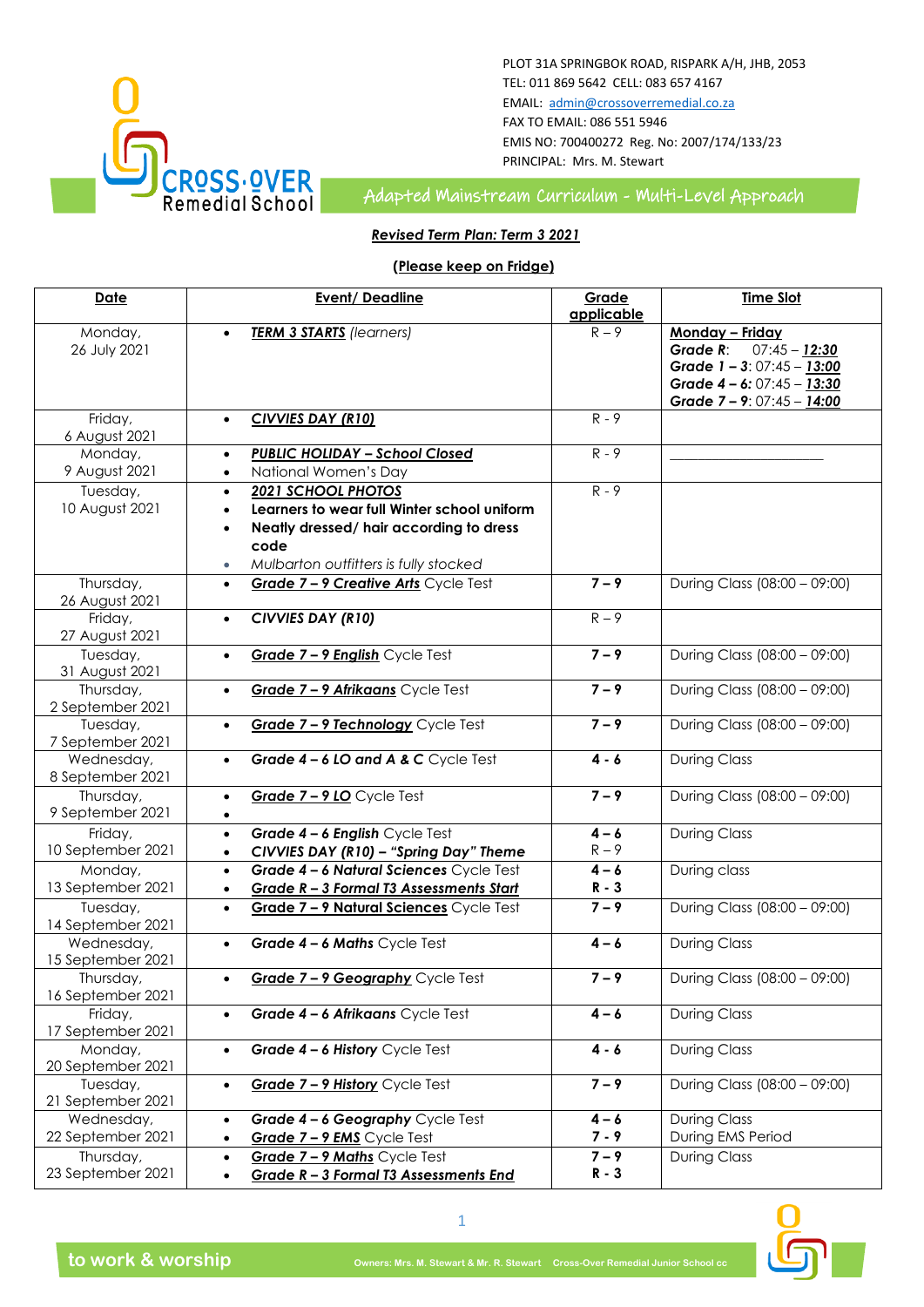

### PLOT 31A SPRINGBOK ROAD, RISPARK A/H, JHB, 2053 TEL: 011 869 5642 CELL: 083 657 4167 EMAIL: [admin@crossoverremedial.co.za](mailto:admin@crossoverremedial.co.za) FAX TO EMAIL: 086 551 5946 EMIS NO: 700400272 Reg. No: 2007/174/133/23 PRINCIPAL: Mrs. M. Stewart

**CROSS:OVER**<br>Remedial School Adapted Mainstream Curriculum - Multi-Level Approach

## *Revised Term Plan: Term 3 2021*

## **(Please keep on Fridge)**

| <b>Date</b>                  | <b>Event/Deadline</b>                                    | Grade      | <b>Time Slot</b>             |
|------------------------------|----------------------------------------------------------|------------|------------------------------|
|                              |                                                          | applicable |                              |
| Monday,                      | <b>TERM 3 STARTS</b> (learners)                          | $R - 9$    | Monday - Friday              |
| 26 July 2021                 |                                                          |            | $07:45 - 12:30$<br>Grade R:  |
|                              |                                                          |            | Grade $1 - 3:07:45 - 13:00$  |
|                              |                                                          |            | Grade 4 - 6: 07:45 - 13:30   |
|                              |                                                          |            | Grade 7 - 9: 07:45 - 14:00   |
| Friday,                      | <b>CIVVIES DAY (R10)</b><br>$\bullet$                    | $R - 9$    |                              |
| 6 August 2021                |                                                          |            |                              |
| Monday,                      | <b>PUBLIC HOLIDAY - School Closed</b><br>$\bullet$       | $R - 9$    |                              |
| 9 August 2021                | National Women's Day<br>$\bullet$                        |            |                              |
| Tuesday,                     | 2021 SCHOOL PHOTOS<br>$\bullet$                          | $R - 9$    |                              |
| 10 August 2021               | Learners to wear full Winter school uniform<br>$\bullet$ |            |                              |
|                              | Neatly dressed/ hair according to dress                  |            |                              |
|                              | code                                                     |            |                              |
|                              | Mulbarton outfitters is fully stocked<br>٠               |            |                              |
| Thursday,                    | Grade 7 - 9 Creative Arts Cycle Test<br>$\bullet$        | $7 - 9$    | During Class (08:00 - 09:00) |
| 26 August 2021               |                                                          |            |                              |
| Friday,                      | CIVVIES DAY (R10)<br>$\bullet$                           | $R - 9$    |                              |
| 27 August 2021               |                                                          |            |                              |
| Tuesday,                     | Grade 7 - 9 English Cycle Test<br>$\bullet$              | $7 - 9$    | During Class (08:00 - 09:00) |
| 31 August 2021               |                                                          |            |                              |
| Thursday,                    | Grade 7-9 Afrikaans Cycle Test<br>$\bullet$              | $7 - 9$    | During Class (08:00 - 09:00) |
| 2 September 2021<br>Tuesday, | Grade 7 - 9 Technology Cycle Test                        | $7 - 9$    | During Class (08:00 - 09:00) |
| 7 September 2021             |                                                          |            |                              |
| Wednesday,                   | Grade 4 - 6 LO and A & C Cycle Test<br>$\bullet$         | $4 - 6$    | <b>During Class</b>          |
| 8 September 2021             |                                                          |            |                              |
| Thursday,                    | Grade 7 - 9 LO Cycle Test<br>$\bullet$                   | $7 - 9$    | During Class (08:00 - 09:00) |
| 9 September 2021             | $\bullet$                                                |            |                              |
| Friday,                      | Grade 4 - 6 English Cycle Test<br>$\bullet$              | $4 - 6$    | <b>During Class</b>          |
| 10 September 2021            | CIVVIES DAY (R10) - "Spring Day" Theme<br>$\bullet$      | $R - 9$    |                              |
| Monday,                      | Grade 4 - 6 Natural Sciences Cycle Test<br>$\bullet$     | $4 - 6$    | During class                 |
| 13 September 2021            | Grade R - 3 Formal T3 Assessments Start<br>$\bullet$     | $R - 3$    |                              |
| Tuesday,                     | Grade 7 - 9 Natural Sciences Cycle Test<br>$\bullet$     | $7 - 9$    | During Class (08:00 - 09:00) |
| 14 September 2021            |                                                          |            |                              |
| Wednesday,                   | Grade 4 - 6 Maths Cycle Test<br>$\bullet$                | $4 - 6$    | <b>During Class</b>          |
| 15 September 2021            |                                                          |            |                              |
| Thursday,                    | Grade 7 - 9 Geography Cycle Test<br>$\bullet$            | $7 - 9$    | During Class (08:00 - 09:00) |
| 16 September 2021            |                                                          |            |                              |
| Friday,                      | Grade 4 - 6 Afrikaans Cycle Test                         | $4 - 6$    | <b>During Class</b>          |
| 17 September 2021            |                                                          |            |                              |
| Monday,                      | Grade 4 - 6 History Cycle Test<br>$\bullet$              | $4 - 6$    | <b>During Class</b>          |
| 20 September 2021            |                                                          |            |                              |
| Tuesday,                     | Grade 7 - 9 History Cycle Test<br>$\bullet$              | $7 - 9$    | During Class (08:00 - 09:00) |
| 21 September 2021            |                                                          |            |                              |
| Wednesday,                   | Grade 4 - 6 Geography Cycle Test<br>٠                    | $4 - 6$    | <b>During Class</b>          |
| 22 September 2021            | Grade 7 - 9 EMS Cycle Test<br>$\bullet$                  | $7 - 9$    | During EMS Period            |
| Thursday,                    | Grade 7 - 9 Maths Cycle Test<br>٠                        | $7 - 9$    | <b>During Class</b>          |
| 23 September 2021            | Grade R - 3 Formal T3 Assessments End<br>$\bullet$       | $R - 3$    |                              |